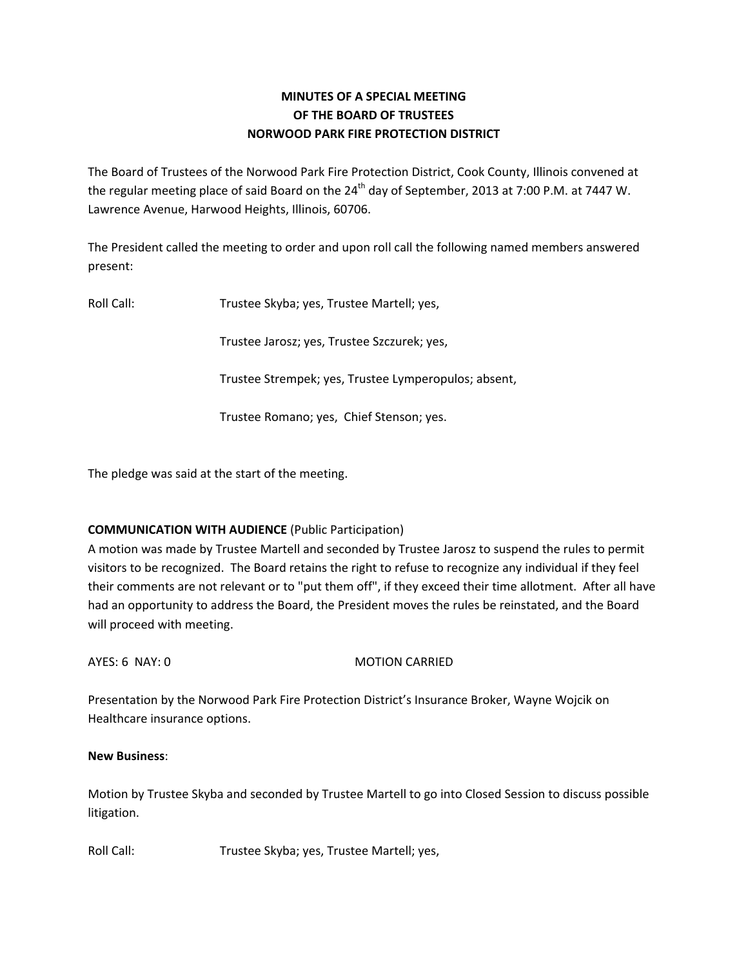## **MINUTES OF A SPECIAL MEETING OF THE BOARD OF TRUSTEES NORWOOD PARK FIRE PROTECTION DISTRICT**

The Board of Trustees of the Norwood Park Fire Protection District, Cook County, Illinois convened at the regular meeting place of said Board on the  $24<sup>th</sup>$  day of September, 2013 at 7:00 P.M. at 7447 W. Lawrence Avenue, Harwood Heights, Illinois, 60706.

The President called the meeting to order and upon roll call the following named members answered present:

Roll Call: Trustee Skyba; yes, Trustee Martell; yes,

Trustee Jarosz; yes, Trustee Szczurek; yes,

Trustee Strempek; yes, Trustee Lymperopulos; absent,

Trustee Romano; yes, Chief Stenson; yes.

The pledge was said at the start of the meeting.

## **COMMUNICATION WITH AUDIENCE** (Public Participation)

A motion was made by Trustee Martell and seconded by Trustee Jarosz to suspend the rules to permit visitors to be recognized. The Board retains the right to refuse to recognize any individual if they feel their comments are not relevant or to "put them off", if they exceed their time allotment. After all have had an opportunity to address the Board, the President moves the rules be reinstated, and the Board will proceed with meeting.

## AYES: 6 NAY: 0 MOTION CARRIED

Presentation by the Norwood Park Fire Protection District's Insurance Broker, Wayne Wojcik on Healthcare insurance options.

## **New Business**:

Motion by Trustee Skyba and seconded by Trustee Martell to go into Closed Session to discuss possible litigation.

Roll Call: Trustee Skyba; yes, Trustee Martell; yes,